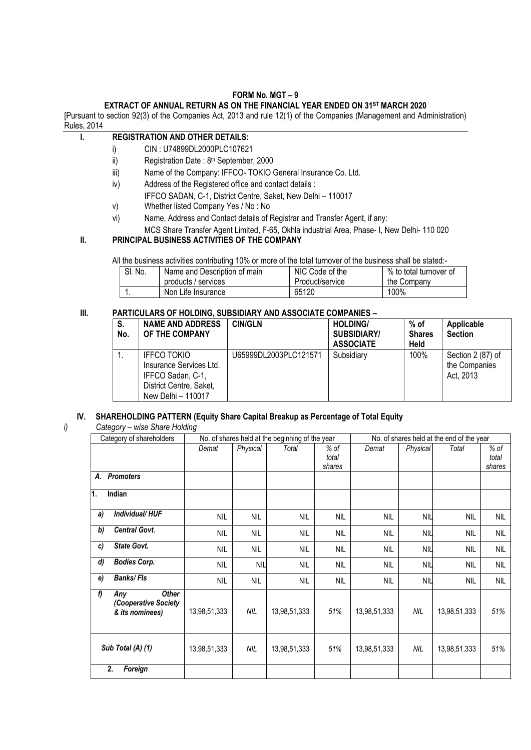# **FORM No. MGT – 9**

# **EXTRACT OF ANNUAL RETURN AS ON THE FINANCIAL YEAR ENDED ON 31ST MARCH 2020**

[Pursuant to section 92(3) of the Companies Act, 2013 and rule 12(1) of the Companies (Management and Administration) Rules, 2014

### **I. REGISTRATION AND OTHER DETAILS:**

- i) CIN : U74899DL2000PLC107621
- ii) Registration Date :  $8<sup>th</sup>$  September, 2000
- iii) Name of the Company: IFFCO- TOKIO General Insurance Co. Ltd.
- iv) Address of the Registered office and contact details :
- IFFCO SADAN, C-1, District Centre, Saket, New Delhi 110017
- v) Whether listed Company Yes / No : No
- vi) Name, Address and Contact details of Registrar and Transfer Agent, if any:
	- MCS Share Transfer Agent Limited, F-65, Okhla industrial Area, Phase- I, New Delhi- 110 020

# **II. PRINCIPAL BUSINESS ACTIVITIES OF THE COMPANY**

All the business activities contributing 10% or more of the total turnover of the business shall be stated:-

| SI. No. | Name and Description of main | NIC Code of the | % to total turnover of |  |
|---------|------------------------------|-----------------|------------------------|--|
|         | products / services          | Product/service | the Company            |  |
|         | Non Life Insurance           | 65120           | 100%                   |  |

### **III. PARTICULARS OF HOLDING, SUBSIDIARY AND ASSOCIATE COMPANIES –**

| S.<br>No. | <b>NAME AND ADDRESS</b><br>OF THE COMPANY                                                                           | <b>CIN/GLN</b>        | <b>HOLDING/</b><br><b>SUBSIDIARY/</b><br><b>ASSOCIATE</b> | % of<br><b>Shares</b><br><b>Held</b> | Applicable<br><b>Section</b>                    |
|-----------|---------------------------------------------------------------------------------------------------------------------|-----------------------|-----------------------------------------------------------|--------------------------------------|-------------------------------------------------|
| ι.        | <b>IFFCO TOKIO</b><br>Insurance Services Ltd.<br>IFFCO Sadan, C-1,<br>District Centre, Saket,<br>New Delhi - 110017 | U65999DL2003PLC121571 | Subsidiary                                                | 100%                                 | Section 2 (87) of<br>the Companies<br>Act, 2013 |

# **IV. SHAREHOLDING PATTERN (Equity Share Capital Breakup as Percentage of Total Equity**

# *i) Category – wise Share Holding*

|                   | Category of shareholders                                       |              |            | No. of shares held at the beginning of the year |                         |              |            | No. of shares held at the end of the year |                         |
|-------------------|----------------------------------------------------------------|--------------|------------|-------------------------------------------------|-------------------------|--------------|------------|-------------------------------------------|-------------------------|
|                   |                                                                | Demat        | Physical   | Total                                           | % of<br>total<br>shares | Demat        | Physical   | Total                                     | % of<br>total<br>shares |
| А.                | <b>Promoters</b>                                               |              |            |                                                 |                         |              |            |                                           |                         |
| 1.                | Indian                                                         |              |            |                                                 |                         |              |            |                                           |                         |
| a)                | Individual/HUF                                                 | <b>NIL</b>   | <b>NIL</b> | <b>NIL</b>                                      | <b>NIL</b>              | <b>NIL</b>   | <b>NIL</b> | <b>NIL</b>                                | <b>NIL</b>              |
| b)                | <b>Central Govt.</b>                                           | <b>NIL</b>   | <b>NIL</b> | <b>NIL</b>                                      | <b>NIL</b>              | <b>NIL</b>   | <b>NIL</b> | <b>NIL</b>                                | <b>NIL</b>              |
| c)                | State Govt.                                                    | <b>NIL</b>   | <b>NIL</b> | <b>NIL</b>                                      | <b>NIL</b>              | <b>NIL</b>   | <b>NIL</b> | <b>NIL</b>                                | <b>NIL</b>              |
| d)                | <b>Bodies Corp.</b>                                            | <b>NIL</b>   | <b>NIL</b> | <b>NIL</b>                                      | <b>NIL</b>              | <b>NIL</b>   | <b>NIL</b> | <b>NIL</b>                                | <b>NIL</b>              |
| e)                | <b>Banks/Fls</b>                                               | <b>NIL</b>   | <b>NIL</b> | <b>NIL</b>                                      | <b>NIL</b>              | <b>NIL</b>   | <b>NIL</b> | <b>NIL</b>                                | <b>NIL</b>              |
| f)                | <b>Other</b><br>Any<br>(Cooperative Society<br>& its nominees) | 13,98,51,333 | NIL        | 13,98,51,333                                    | 51%                     | 13,98,51,333 | <b>NIL</b> | 13,98,51,333                              | 51%                     |
| Sub Total (A) (1) |                                                                | 13,98,51,333 | NIL        | 13,98,51,333                                    | 51%                     | 13,98,51,333 | <b>NIL</b> | 13,98,51,333                              | 51%                     |
|                   | 2.<br>Foreign                                                  |              |            |                                                 |                         |              |            |                                           |                         |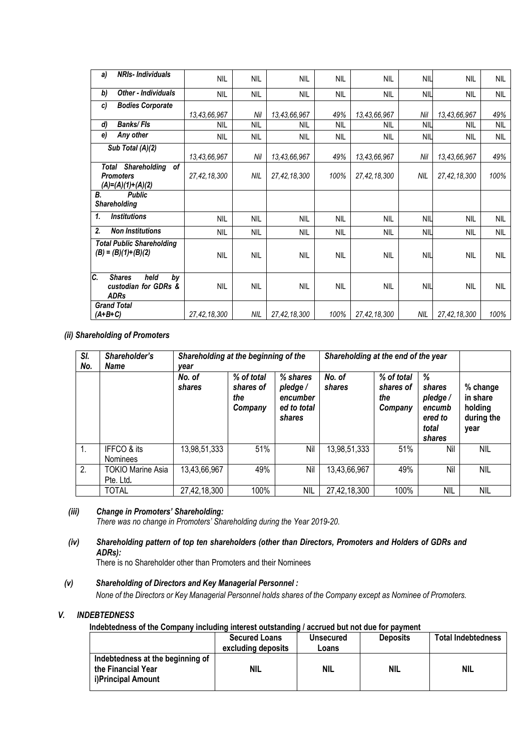| a)        | <b>NRIs-Individuals</b>                                              | <b>NIL</b>   | <b>NIL</b> | <b>NIL</b>   | <b>NIL</b> | <b>NIL</b>      | <b>NIL</b> | <b>NIL</b>   | <b>NIL</b> |
|-----------|----------------------------------------------------------------------|--------------|------------|--------------|------------|-----------------|------------|--------------|------------|
| b)        | <b>Other - Individuals</b>                                           | <b>NIL</b>   | <b>NIL</b> | <b>NIL</b>   | <b>NIL</b> | <b>NIL</b>      | <b>NIL</b> | <b>NIL</b>   | <b>NIL</b> |
| c)        | <b>Bodies Corporate</b>                                              |              |            |              |            |                 |            |              |            |
|           |                                                                      | 13,43,66,967 | Nil        | 13,43,66,967 | 49%        | 13,43,66,967    | Nil        | 13,43,66,967 | 49%        |
| d)        | <b>Banks/FIs</b>                                                     | <b>NIL</b>   | <b>NIL</b> | <b>NIL</b>   | <b>NIL</b> | <b>NIL</b>      | <b>NIL</b> | <b>NIL</b>   | <b>NIL</b> |
| e)        | Any other                                                            | <b>NIL</b>   | <b>NIL</b> | NIL          | <b>NIL</b> | <b>NIL</b>      | <b>NIL</b> | <b>NIL</b>   | NIL        |
|           | Sub Total (A)(2)                                                     |              |            |              |            |                 |            |              |            |
|           |                                                                      | 13,43,66,967 | Nil        | 13,43,66,967 | 49%        | 13,43,66,967    | Nil        | 13,43,66,967 | 49%        |
| Total     | <b>Shareholding</b><br>of<br><b>Promoters</b><br>$(A)=(A)(1)+(A)(2)$ | 27,42,18,300 | NIL        | 27,42,18,300 | 100%       | 27,42,18,300    | <b>NIL</b> | 27,42,18,300 | 100%       |
| В.        | <b>Public</b><br><b>Shareholding</b>                                 |              |            |              |            |                 |            |              |            |
| 1.        | <b>Institutions</b>                                                  | <b>NIL</b>   | <b>NIL</b> | <b>NIL</b>   | <b>NIL</b> | <b>NIL</b>      | <b>NIL</b> | <b>NIL</b>   | <b>NIL</b> |
| 2.        | <b>Non Institutions</b>                                              | <b>NIL</b>   | <b>NIL</b> | NIL          | NIL        | <b>NIL</b>      | <b>NIL</b> | <b>NIL</b>   | <b>NIL</b> |
|           | <b>Total Public Shareholding</b><br>$(B) = (B)(1)+(B)(2)$            | <b>NIL</b>   | <b>NIL</b> | <b>NIL</b>   | <b>NIL</b> | <b>NIL</b>      | <b>NIL</b> | <b>NIL</b>   | <b>NIL</b> |
| C.        | <b>Shares</b><br>held<br>by<br>custodian for GDRs &<br><b>ADRs</b>   | <b>NIL</b>   | <b>NIL</b> | <b>NIL</b>   | <b>NIL</b> | <b>NIL</b>      | <b>NIL</b> | <b>NIL</b>   | <b>NIL</b> |
| $(A+B+C)$ | <b>Grand Total</b>                                                   | 27,42,18,300 | NIL        | 27,42,18,300 | 100%       | 27, 42, 18, 300 | NIL        | 27,42,18,300 | 100%       |

*(ii) Shareholding of Promoters*

| SI.<br>No. | Shareholder's<br>Shareholding at the beginning of the<br><b>Name</b><br>vear |                  |                                           |                                                           | Shareholding at the end of the year |                                           |                                                                |                                                       |
|------------|------------------------------------------------------------------------------|------------------|-------------------------------------------|-----------------------------------------------------------|-------------------------------------|-------------------------------------------|----------------------------------------------------------------|-------------------------------------------------------|
|            |                                                                              | No. of<br>shares | % of total<br>shares of<br>the<br>Company | % shares<br>pledge /<br>encumber<br>ed to total<br>shares | No. of<br>shares                    | % of total<br>shares of<br>the<br>Company | %<br>shares<br>pledge/<br>encumb<br>ered to<br>total<br>shares | % change<br>in share<br>holding<br>during the<br>year |
| 1.         | IFFCO & its<br><b>Nominees</b>                                               | 13,98,51,333     | 51%                                       | Nil                                                       | 13,98,51,333                        | 51%                                       | Nil                                                            | <b>NIL</b>                                            |
| 2.         | <b>TOKIO Marine Asia</b><br>Pte. Ltd.                                        | 13,43,66,967     | 49%                                       | Nil                                                       | 13,43,66,967                        | 49%                                       | Nil                                                            | <b>NIL</b>                                            |
|            | <b>TOTAL</b>                                                                 | 27,42,18,300     | 100%                                      | NIL                                                       | 27,42,18,300                        | 100%                                      | NIL                                                            | <b>NIL</b>                                            |

#### *(iii) Change in Promoters' Shareholding:*

*There was no change in Promoters' Shareholding during the Year 2019-20.*

#### *(iv) Shareholding pattern of top ten shareholders (other than Directors, Promoters and Holders of GDRs and ADRs):*

There is no Shareholder other than Promoters and their Nominees

#### *(v) Shareholding of Directors and Key Managerial Personnel :*

*None of the Directors or Key Managerial Personnel holds shares of the Company except as Nominee of Promoters.*

#### *V. INDEBTEDNESS*

#### **Indebtedness of the Company including interest outstanding / accrued but not due for payment**

|                                                                              | <b>Secured Loans</b><br>excluding deposits | <b>Unsecured</b><br>Loans | <b>Deposits</b> | <b>Total Indebtedness</b> |
|------------------------------------------------------------------------------|--------------------------------------------|---------------------------|-----------------|---------------------------|
| Indebtedness at the beginning of<br>the Financial Year<br>i)Principal Amount | NIL                                        | NIL                       | <b>NIL</b>      | <b>NIL</b>                |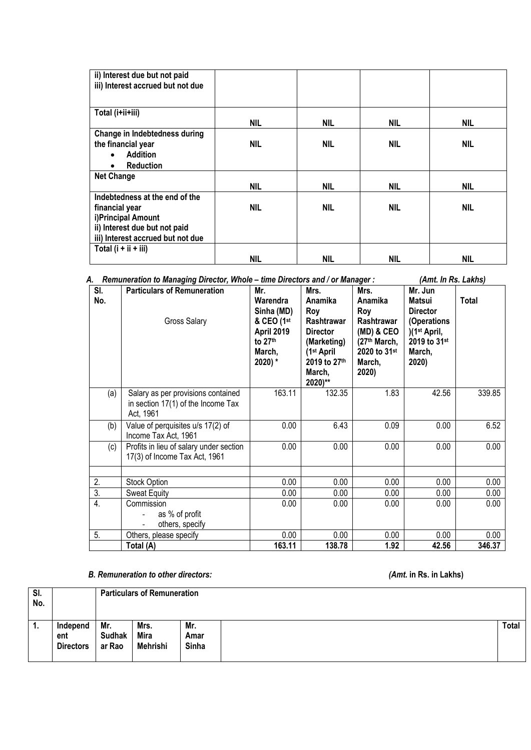| ii) Interest due but not paid     |            |            |            |            |
|-----------------------------------|------------|------------|------------|------------|
| iii) Interest accrued but not due |            |            |            |            |
|                                   |            |            |            |            |
| Total (i+ii+iii)                  |            |            |            |            |
|                                   | <b>NIL</b> | <b>NIL</b> | <b>NIL</b> | <b>NIL</b> |
| Change in Indebtedness during     |            |            |            |            |
| the financial year                | <b>NIL</b> | <b>NIL</b> | <b>NIL</b> | <b>NIL</b> |
| <b>Addition</b><br>$\bullet$      |            |            |            |            |
| <b>Reduction</b><br>$\bullet$     |            |            |            |            |
| <b>Net Change</b>                 |            |            |            |            |
|                                   | <b>NIL</b> | <b>NIL</b> | <b>NIL</b> | <b>NIL</b> |
| Indebtedness at the end of the    |            |            |            |            |
| financial year                    | <b>NIL</b> | <b>NIL</b> | <b>NIL</b> | <b>NIL</b> |
| i)Principal Amount                |            |            |            |            |
| ii) Interest due but not paid     |            |            |            |            |
| iii) Interest accrued but not due |            |            |            |            |
| Total $(i + ii + iii)$            |            |            |            |            |
|                                   | NIL        | <b>NIL</b> | NIL        | <b>NIL</b> |

*A. Remuneration to Managing Director, Whole – time Directors and / or Manager : (Amt. In Rs. Lakhs)*

| SI.<br>No.       | <b>Particulars of Remuneration</b><br>Gross Salary                                    | Mr.<br>Warendra<br>Sinha (MD)<br>& CEO (1st<br>April 2019<br>to 27th<br>March,<br>$2020$ ) * | Mrs.<br>Anamika<br>Roy<br>Rashtrawar<br><b>Director</b><br>(Marketing)<br>(1 <sup>st</sup> April<br>2019 to 27th<br>March,<br>$2020$ )** | Mrs.<br>Anamika<br>Roy<br>Rashtrawar<br>$(MD)$ & CEO<br>(27th March,<br>2020 to 31 <sup>st</sup><br>March,<br>2020) | Mr. Jun<br><b>Matsui</b><br><b>Director</b><br>(Operations<br>)(1 <sup>st</sup> April,<br>2019 to 31st<br>March,<br>2020) | Total  |
|------------------|---------------------------------------------------------------------------------------|----------------------------------------------------------------------------------------------|------------------------------------------------------------------------------------------------------------------------------------------|---------------------------------------------------------------------------------------------------------------------|---------------------------------------------------------------------------------------------------------------------------|--------|
| (a)              | Salary as per provisions contained<br>in section 17(1) of the Income Tax<br>Act, 1961 | 163.11                                                                                       | 132.35                                                                                                                                   | 1.83                                                                                                                | 42.56                                                                                                                     | 339.85 |
| (b)              | Value of perquisites u/s 17(2) of<br>Income Tax Act, 1961                             | 0.00                                                                                         | 6.43                                                                                                                                     | 0.09                                                                                                                | 0.00                                                                                                                      | 6.52   |
| (c)              | Profits in lieu of salary under section<br>17(3) of Income Tax Act, 1961              | 0.00                                                                                         | 0.00                                                                                                                                     | 0.00                                                                                                                | 0.00                                                                                                                      | 0.00   |
| 2.               | Stock Option                                                                          | 0.00                                                                                         | 0.00                                                                                                                                     | 0.00                                                                                                                | 0.00                                                                                                                      | 0.00   |
| $\overline{3}$ . | <b>Sweat Equity</b>                                                                   | 0.00                                                                                         | 0.00                                                                                                                                     | 0.00                                                                                                                | 0.00                                                                                                                      | 0.00   |
| 4.               | Commission<br>as % of profit<br>others, specify<br>$\overline{\phantom{0}}$           | 0.00                                                                                         | 0.00 <sub>1</sub>                                                                                                                        | 0.00                                                                                                                | 0.00                                                                                                                      | 0.00   |
| 5.               | Others, please specify                                                                | 0.00                                                                                         | 0.00                                                                                                                                     | 0.00                                                                                                                | 0.00                                                                                                                      | 0.00   |
|                  | Total (A)                                                                             | 163.11                                                                                       | 138.78                                                                                                                                   | 1.92                                                                                                                | 42.56                                                                                                                     | 346.37 |

# *B. Remuneration to other directors: (Amt.* **in Rs. in Lakhs)**

| SI.<br>No. |                                     |                                | <b>Particulars of Remuneration</b> |                      |  |              |  |  |
|------------|-------------------------------------|--------------------------------|------------------------------------|----------------------|--|--------------|--|--|
| 1.         | Independ<br>ent<br><b>Directors</b> | Mr.<br><b>Sudhak</b><br>ar Rao | Mrs.<br>Mira<br>Mehrishi           | Mr.<br>Amar<br>Sinha |  | <b>Total</b> |  |  |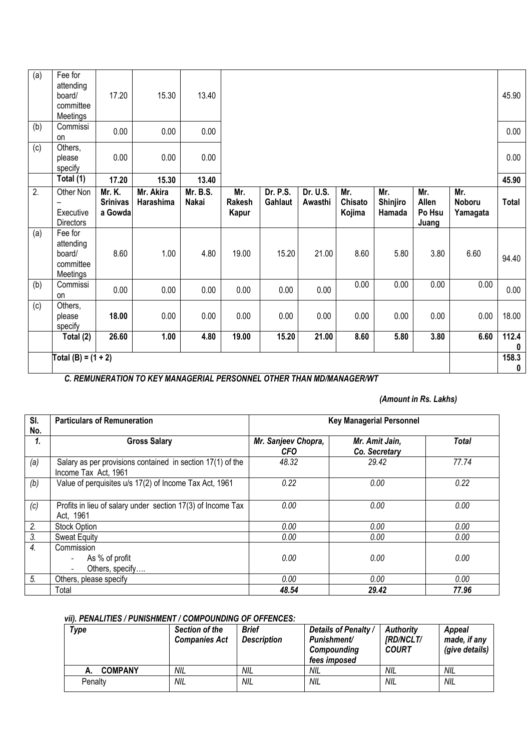| (a)              | Fee for<br>attending<br>board/<br>committee<br>Meetings | 17.20                                       | 15.30                                                                | 13.40             |                               |                            |                     |                          |                           |                                 |                           | 45.90                     |
|------------------|---------------------------------------------------------|---------------------------------------------|----------------------------------------------------------------------|-------------------|-------------------------------|----------------------------|---------------------|--------------------------|---------------------------|---------------------------------|---------------------------|---------------------------|
| (b)              | Commissi<br><b>on</b>                                   | 0.00                                        | 0.00                                                                 | 0.00              |                               |                            |                     |                          |                           |                                 |                           | 0.00                      |
| (c)              | Others,<br>please<br>specify                            | 0.00                                        | 0.00                                                                 | 0.00              |                               |                            |                     |                          |                           |                                 |                           | 0.00                      |
|                  | Total (1)                                               | 17.20                                       | 15.30                                                                | 13.40             |                               |                            |                     |                          |                           |                                 |                           | 45.90                     |
| $\overline{2}$ . | Other Non<br>Executive<br><b>Directors</b>              | <b>Mr. K.</b><br><b>Srinivas</b><br>a Gowda | Mr. Akira<br>Harashima                                               | Mr. B.S.<br>Nakai | Mr.<br><b>Rakesh</b><br>Kapur | <b>Dr. P.S.</b><br>Gahlaut | Dr. U.S.<br>Awasthi | Mr.<br>Chisato<br>Kojima | Mr.<br>Shinjiro<br>Hamada | Mr.<br>Allen<br>Po Hsu<br>Juang | Mr.<br>Noboru<br>Yamagata | <b>Total</b>              |
| (a)              | Fee for<br>attending<br>board/<br>committee<br>Meetings | 8.60                                        | 1.00                                                                 | 4.80              | 19.00                         | 15.20                      | 21.00               | 8.60                     | 5.80                      | 3.80                            | 6.60                      | 94.40                     |
| (b)              | Commissi<br>on                                          | 0.00                                        | 0.00                                                                 | 0.00              | 0.00                          | 0.00                       | 0.00                | 0.00                     | 0.00                      | 0.00                            | 0.00                      | 0.00                      |
| (c)              | Others,<br>please<br>specify                            | 18.00                                       | 0.00                                                                 | 0.00              | 0.00                          | 0.00                       | 0.00                | 0.00                     | 0.00                      | 0.00                            | 0.00                      | 18.00                     |
|                  | Total (2)                                               | 26.60                                       | 1.00                                                                 | 4.80              | 19.00                         | 15.20                      | 21.00               | 8.60                     | 5.80                      | 3.80                            | 6.60                      | 112.4<br>$\boldsymbol{0}$ |
|                  | Total (B) = $(1 + 2)$                                   |                                             | A BEMINIEDATION TO KEV MANAGEDIAL BEBOAHNEL OTHER THAN MORAMAGED MIT |                   |                               |                            |                     |                          |                           |                                 |                           | 158.3<br>0                |

*C. REMUNERATION TO KEY MANAGERIAL PERSONNEL OTHER THAN MD/MANAGER/WT* 

## *(Amount in Rs. Lakhs)*

| SI.            | <b>Particulars of Remuneration</b>                                                 | <b>Key Managerial Personnel</b>   |                                 |              |  |  |  |  |
|----------------|------------------------------------------------------------------------------------|-----------------------------------|---------------------------------|--------------|--|--|--|--|
| No.            |                                                                                    |                                   |                                 |              |  |  |  |  |
| 1.             | <b>Gross Salary</b>                                                                | Mr. Sanjeev Chopra,<br><b>CFO</b> | Mr. Amit Jain,<br>Co. Secretary | <b>Total</b> |  |  |  |  |
| (a)            | Salary as per provisions contained in section 17(1) of the<br>Income Tax Act, 1961 | 48.32                             | 29.42                           | 77.74        |  |  |  |  |
| (b)            | Value of perquisites u/s 17(2) of Income Tax Act, 1961                             | 0.22                              | 0.00                            | 0.22         |  |  |  |  |
| (c)            | Profits in lieu of salary under section 17(3) of Income Tax<br>Act. 1961           | 0.00                              | 0.00                            | 0.00         |  |  |  |  |
| 2.             | <b>Stock Option</b>                                                                | 0.00                              | 0.00                            | 0.00         |  |  |  |  |
| 3 <sub>l</sub> | <b>Sweat Equity</b>                                                                | 0.00                              | 0.00                            | 0.00         |  |  |  |  |
| 4.             | Commission<br>As % of profit<br>Others, specify<br>$\blacksquare$                  | 0.00                              | 0.00                            | 0.00         |  |  |  |  |
| 5.             | Others, please specify                                                             | 0.00                              | 0.00                            | 0.00         |  |  |  |  |
|                | Total                                                                              | 48.54                             | 29.42                           | 77.96        |  |  |  |  |

### *vii). PENALITIES / PUNISHMENT / COMPOUNDING OF OFFENCES:*

| Type           | Section of the<br><b>Companies Act</b> | <b>Brief</b><br><b>Description</b> | Details of Penalty /<br><b>Punishment/</b><br>Compounding<br>fees imposed | <b>Authority</b><br><b>IRD/NCLT/</b><br><b>COURT</b> | Appeal<br>made, if any<br>(give details) |
|----------------|----------------------------------------|------------------------------------|---------------------------------------------------------------------------|------------------------------------------------------|------------------------------------------|
| <b>COMPANY</b> | NIL                                    | NIL                                | NIL                                                                       | NIL                                                  | NIL                                      |
| Penalty        | NIL                                    | NIL                                | <b>NIL</b>                                                                | <b>NIL</b>                                           | NIL                                      |